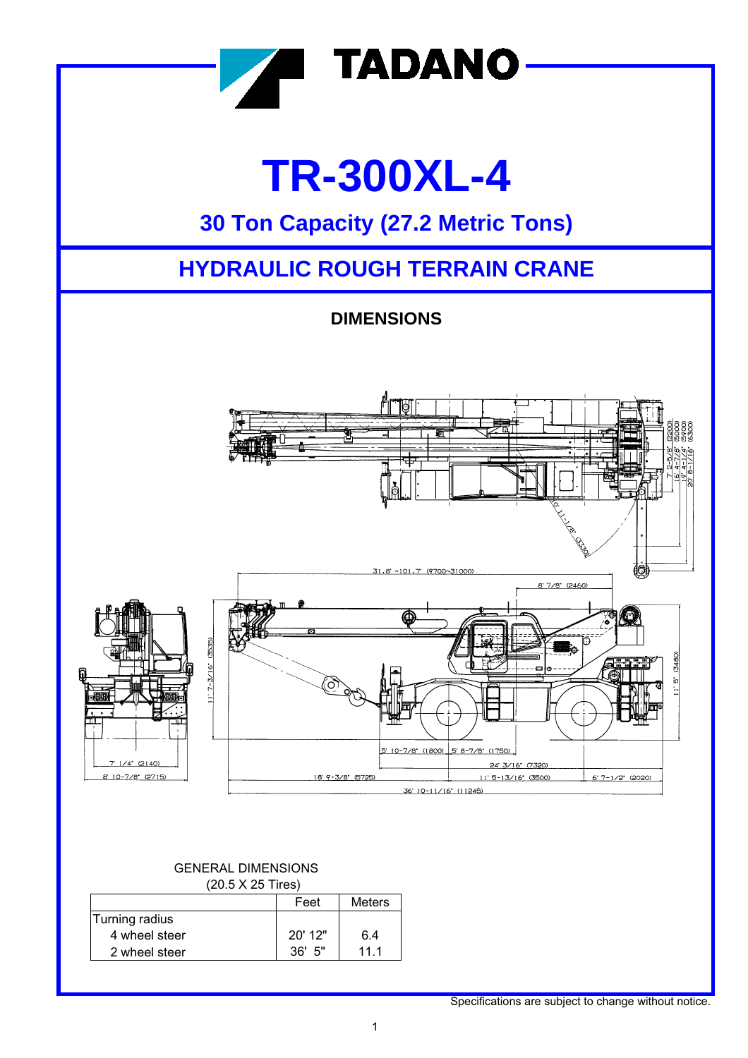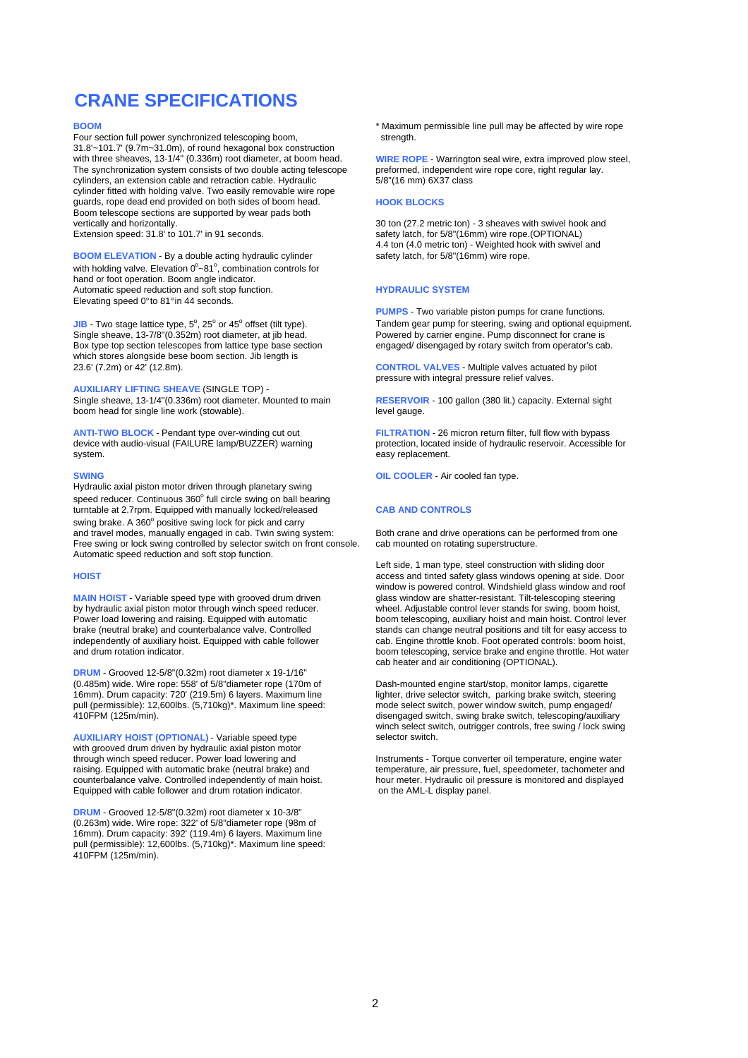### **CRANE SPECIFICATIONS**

Four section full power synchronized telescoping boom, strength. 31.8'~101.7' (9.7m~31.0m), of round hexagonal box construction with three sheaves, 13-1/4" (0.336m) root diameter, at boom head. WIRE ROPE - Warrington seal wire, extra improved plow steel, The synchronization system consists of two double acting telescope preformed, independent wire The synchronization system consists of two double acting telescope preformed, independent cylinders, an extension cable and retraction cable. Hydraulic 5/8"(16 mm) 6X37 class cylinders, an extension cable and retraction cable. Hydraulic cylinder fitted with holding valve. Two easily removable wire rope guards, rope dead end provided on both sides of boom head. **HOOK BLOCKS** Boom telescope sections are supported by wear pads both

**BOOM ELEVATION** - By a double acting hydraulic cylinder safety latch, for 5/8"(16mm) wire rope. with holding valve. Elevation  $0^{\circ}$  ~81°, combination controls for hand or foot operation. Boom angle indicator. Automatic speed reduction and soft stop function. **HYDRAULIC SYSTEM** Elevating speed 0° to 81° in 44 seconds.

 $JIB$  - Two stage lattice type,  $5^\circ$ , 25 $^\circ$  or 45 $^\circ$ Single sheave, 13-7/8"(0.352m) root diameter, at jib head. Powered by carrier engine. Pump disconnect for crane is<br>Box type top section telescopes from lattice type base section engaged/ disengaged by rotary switch from op Box type top section telescopes from lattice type base section which stores alongside bese boom section. Jib length is 23.6' (7.2m) or 42' (12.8m).

**AUXILIARY LIFTING SHEAVE** (SINGLE TOP) boom head for single line work (stowable). level gauge.

**ANTI-TWO BLOCK** - Pendant type over-winding cut out **FILTRATION** - 26 micron return filter, full flow with bypass device with audio-visual (FAILURE lamp/BUZZER) warning protection, located inside of hydraulic reservoir. A system. easy replacement.

Hydraulic axial piston motor driven through planetary swing speed reducer. Continuous  $360^{\circ}$  full circle swing on ball bearing turntable at 2.7rpm. Equipped with manually locked/released **CAB AND CONTROLS** swing brake. A 360° positive swing lock for pick and carry and travel modes, manually engaged in cab. Twin swing system:<br>
Free swing or lock swing controlled by selector switch on front console. Cab mounted on rotating superstructure. Free swing or lock swing controlled by selector switch on front console. Automatic speed reduction and soft stop function.

by hydraulic axial piston motor through winch speed reducer. independently of auxiliary hoist. Equipped with cable follower cab. Engine throttle knob. Foot operated controls: boom hoist, and drum rotation indicator. And drum rotation indicator.

**DRUM** - Grooved 12-5/8"(0.32m) root diameter x 19-1/16"<br>(0.485m) wide. Wire rope: 558' of 5/8"diameter rope (170m of 16mm). Drum capacity: 720' (219.5m) 6 layers. Maximum line lighter, drive selector switch, parking brake switch, steering<br>
pull (permissible): 12,600lbs. (5,710kg)\*. Maximum line speed: mode select switch, power window swi pull (permissible): 12,600lbs. (5,710kg)\*. Maximum line speed: 410FPM (125m/min).

**AUXILIARY HOIST (OPTIONAL) - Variable speed type** with grooved drum driven by hydraulic axial piston motor<br>through winch speed reducer. Power load lowering and through winch speed reducer. Power load lowering and Instruments - Torque converter oil temperature, engine water<br>Instruments - Torque converter oil temperature, air pressure, fuel, speedometer, tachometer and<br>Institute, a counterbalance valve. Controlled independently of main hoist. hour meter. Hydraulic oil pressure is monitored and drum rotation indicator. Equipped with cable follower and drum rotation indicator.

**DRUM** - Grooved 12-5/8"(0.32m) root diameter x 10-3/8" (0.263m) wide. Wire rope: 322' of 5/8"diameter rope (98m of 16mm). Drum capacity: 392' (119.4m) 6 layers. Maximum line pull (permissible): 12,600lbs. (5,710kg)\*. Maximum line speed: 410FPM (125m/min).

**BOOM EXECTED BOOM \*** Maximum permissible line pull may be affected by wire rope

vertically and horizontally.<br>
Extension speed: 31.8' to 101.7' in 91 seconds.<br>
Safety latch, for 5/8"(16mm) wire rope (OPTIONAL) Extension speed: 31.8' to 101.7' in 91 seconds. satety latch, for 5/8"(16mm) wire rope.(OPTIONAL) 4.4 ton (4.0 metric ton) - Weighted hook with swivel and

**PUMPS** - Two variable piston pumps for crane functions. Tandem gear pump for steering, swing and optional equipment.<br>Powered by carrier engine. Pump disconnect for crane is

**CONTROL VALVES** - Multiple valves actuated by pilot pressure with integral pressure relief valves.

**RESERVOIR - 100 gallon (380 lit.) capacity. External sight** 

protection, located inside of hydraulic reservoir. Accessible for

**SWING OIL COOLER** - Air cooled fan type.

Left side, 1 man type, steel construction with sliding door **HOIST** access and tinted safety glass windows opening at side. Door window is powered control. Windshield glass window and roof class window are shatter-resistant. Tilt-telescoping steering **MAIN HOIST** - Variable speed type with grooved drum driven glass window are shatter-resistant. Tilt-telescoping steering<br>by hydraulic axial piston motor through winch speed reducer. Wheel. Adjustable control lever stands Power load lowering and raising. Equipped with automatic boom telescoping, auxiliary hoist and main hoist. Control lever brake (neutral brake) and counterbalance valve. Controlled stands can change neutral positions and tilt for easy access to independently of auxiliary hoist. Equipped with cable follower cab. Engine throttle knob. Foot oper boom telescoping, service brake and engine throttle. Hot water cab heater and air conditioning (OPTIONAL).

> Dash-mounted engine start/stop, monitor lamps, cigarette<br>lighter, drive selector switch, parking brake switch, steering disengaged switch, swing brake switch, telescoping/auxiliary winch select switch, outrigger controls, free swing / lock swing<br>selector switch.

> temperature, air pressure, fuel, speedometer, tachometer and hour meter. Hydraulic oil pressure is monitored and displayed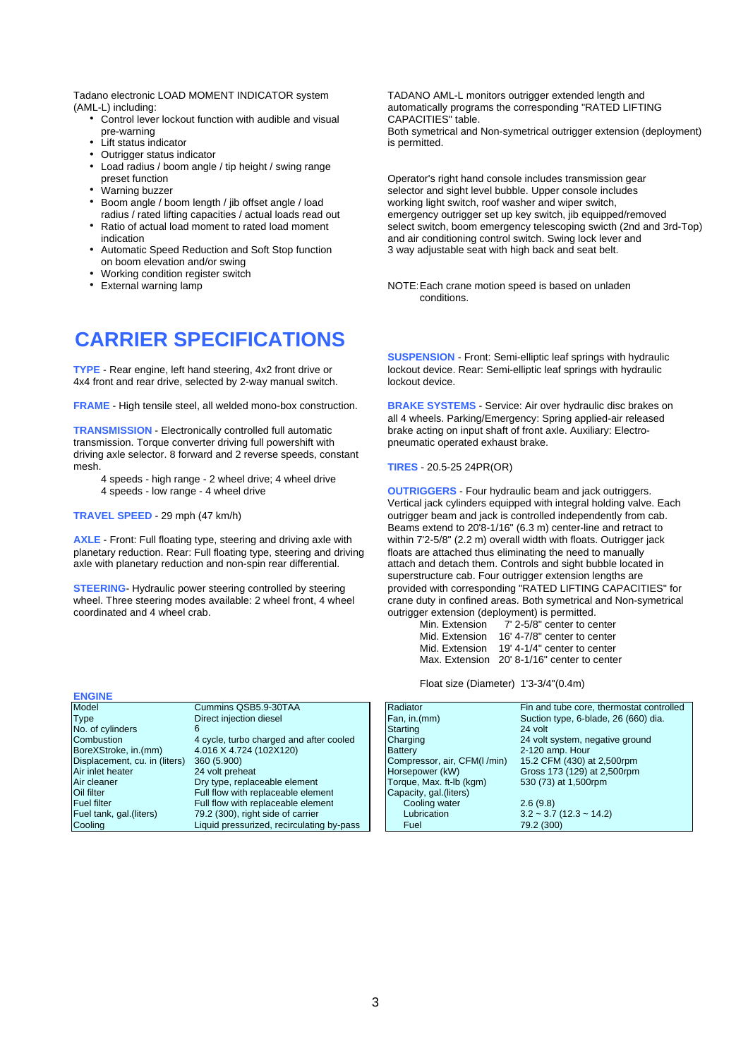Tadano electronic LOAD MOMENT INDICATOR system TADANO AML-L monitors outrigger extended length and<br>(AML-L) including: (ATED LIFTI

- Control lever lockout function with audible and visual pre-warning
- $\cdot$  Lift status indicator
- Outrigger status indicator
- Load radius / boom angle / tip height / swing range<br>preset function
- 
- Boom angle / boom length / jib offset angle / load
- 
- Automatic Speed Reduction and Soft Stop function 3 way adjustable seat with high back and seat belt. on boom elevation and/or swing
- Working condition register switch<br>• External warning lamp
- 

## **CARRIER SPECIFICATIONS**

4x4 front and rear drive, selected by 2-way manual switch.

**TRANSMISSION** - Electronically controlled full automatic brake acting on input shaft of front axle. Auxiliary: Electrotransmission. Torque converter driving full powershift with pneumatic operated exhaust brake. driving axle selector. 8 forward and 2 reverse speeds, constant

- 4 speeds high range 2 wheel drive; 4 wheel drive
- 

**AXLE** - Front: Full floating type, steering and driving axle with within 7'2-5/8" (2.2 m) overall width with floats. Outrigger planetary reduction. Rear: Full floating type, steering and driving floats are attached thus e planetary reduction. Rear: Full floating type, steering and driving axle with planetary reduction and non-spin rear differential.

| Cummins QSB5.9-30TAA                      |                          | Fin and tube core, thermostat contr                                                                                                             |
|-------------------------------------------|--------------------------|-------------------------------------------------------------------------------------------------------------------------------------------------|
| Direct injection diesel                   |                          | Suction type, 6-blade, 26 (660) dia.                                                                                                            |
| 6                                         |                          | 24 volt                                                                                                                                         |
| 4 cycle, turbo charged and after cooled   |                          | 24 volt system, negative ground                                                                                                                 |
| 4.016 X 4.724 (102X120)                   |                          | 2-120 amp. Hour                                                                                                                                 |
| 360 (5.900)                               |                          | 15.2 CFM (430) at 2,500rpm                                                                                                                      |
| 24 volt preheat                           |                          | Gross 173 (129) at 2,500rpm                                                                                                                     |
| Dry type, replaceable element             | Torque, Max. ft-Ib (kgm) | 530 (73) at 1,500rpm                                                                                                                            |
| Full flow with replaceable element        |                          |                                                                                                                                                 |
| Full flow with replaceable element        | Cooling water            | 2.6(9.8)                                                                                                                                        |
| 79.2 (300), right side of carrier         | Lubrication              | $3.2 \approx 3.7 (12.3 \approx 14.2)$                                                                                                           |
| Liquid pressurized, recirculating by-pass | Fuel                     | 79.2 (300)                                                                                                                                      |
|                                           |                          | Radiator<br>Fan, in.(mm)<br>Starting<br>Charging<br><b>Battery</b><br>Compressor, air, CFM(I/min)<br>Horsepower (kW)<br>Capacity, gal. (liters) |

automatically programs the corresponding "RATED LIFTING<br>CAPACITIES" table. Both symetrical and Non-symetrical outrigger extension (deployment) is permitted.

Operator's right hand console includes transmission gear Warning buzzer selector and sight level bubble. Upper console includes<br>Boom angle / boom length / iib offset angle / load warking light switch. roof washer and wiper switch. radius / rated lifting capacities / actual loads read out emergency outrigger set up key switch, jib equipped/removed<br>Ratio of actual load moment to rated load moment select switch, boom emergency telescoping swicth (2nd a h Ratio of actual load moment to rated load moment select switch, boom emergency telescoping swicth (2nd and 3rd-Top)<br>indication and air conditioning control switch. Swing lock lever and and air conditioning control switch. Swing lock lever and

> NOTE: Each crane motion speed is based on unladen conditions.

**SUSPENSION** - Front: Semi-elliptic leaf springs with hydraulic **TYPE** - Rear engine, left hand steering, 4x2 front drive or lockout device. Rear: Semi-elliptic leaf springs with hydraulic 4x4 front and rear drive. selected by 2-way manual switch.

**FRAME** - High tensile steel, all welded mono-box construction. **BRAKE SYSTEMS** - Service: Air over hydraulic disc brakes on all 4 wheels. Parking/Emergency: Spring applied-air released

### mesh. **TIRES** - 20.5-25 24PR(OR)

**OUTRIGGERS** - Four hydraulic beam and jack outriggers. Vertical jack cylinders equipped with integral holding valve. Each **TRAVEL SPEED** - 29 mph (47 km/h) **the act of the controlled independently from cab.** Outrigger beam and jack is controlled independently from cab. Beams extend to 20'8-1/16" (6.3 m) center-line and retract to within 7'2-5/8" (2.2 m) overall width with floats. Outrigger jack attach and detach them. Controls and sight bubble located in superstructure cab. Four outrigger extension lengths are **STEERING**- Hydraulic power steering controlled by steering provided with corresponding "RATED LIFTING CAPACITIES" for provided with corresponding "RATED LIFTING CAPACITIES" for provided at the provided with confined areas wheel. Three steering modes available: 2 wheel front, 4 wheel crane duty in confined areas. Both symetrical and Non-symetrical<br>confinated and 4 wheel crab<br>quartitioner extension (deployment) is permitted outrigger extension (deployment) is permitted.

| Min. Extension | 7' 2-5/8" center to center                  |
|----------------|---------------------------------------------|
| Mid. Extension | 16' 4-7/8" center to center                 |
| Mid. Extension | 19' 4-1/4" center to center                 |
|                | Max. Extension 20' 8-1/16" center to center |

Float size (Diameter) 1'3-3/4"(0.4m)

| Model                         | Cummins QSB5.9-30TAA                      | Radiator                    | Fin and tube core, thermostat controlled |
|-------------------------------|-------------------------------------------|-----------------------------|------------------------------------------|
| Type                          | Direct injection diesel                   | Fan, in.(mm)                | Suction type, 6-blade, 26 (660) dia.     |
| No. of cylinders              |                                           | Starting                    | 24 volt                                  |
| Combustion                    | 4 cycle, turbo charged and after cooled   | Charging                    | 24 volt system, negative ground          |
| BoreXStroke, in.(mm)          | 4.016 X 4.724 (102X120)                   | Battery                     | $2-120$ amp. Hour                        |
| Displacement, cu. in (liters) | 360 (5.900)                               | Compressor, air, CFM(I/min) | 15.2 CFM (430) at 2,500rpm               |
| Air inlet heater              | 24 volt preheat                           | Horsepower (kW)             | Gross 173 (129) at 2,500rpm              |
| Air cleaner                   | Dry type, replaceable element             | Torque, Max. ft-Ib (kgm)    | 530 (73) at 1,500rpm                     |
| Oil filter                    | Full flow with replaceable element        | Capacity, gal. (liters)     |                                          |
| Fuel filter                   | Full flow with replaceable element        | Cooling water               | 2.6(9.8)                                 |
| Fuel tank, gal.(liters)       | 79.2 (300), right side of carrier         | Lubrication                 | $3.2 \sim 3.7$ (12.3 $\sim$ 14.2)        |
| Cooling                       | Liquid pressurized, recirculating by-pass | Fuel                        | 79.2 (300)                               |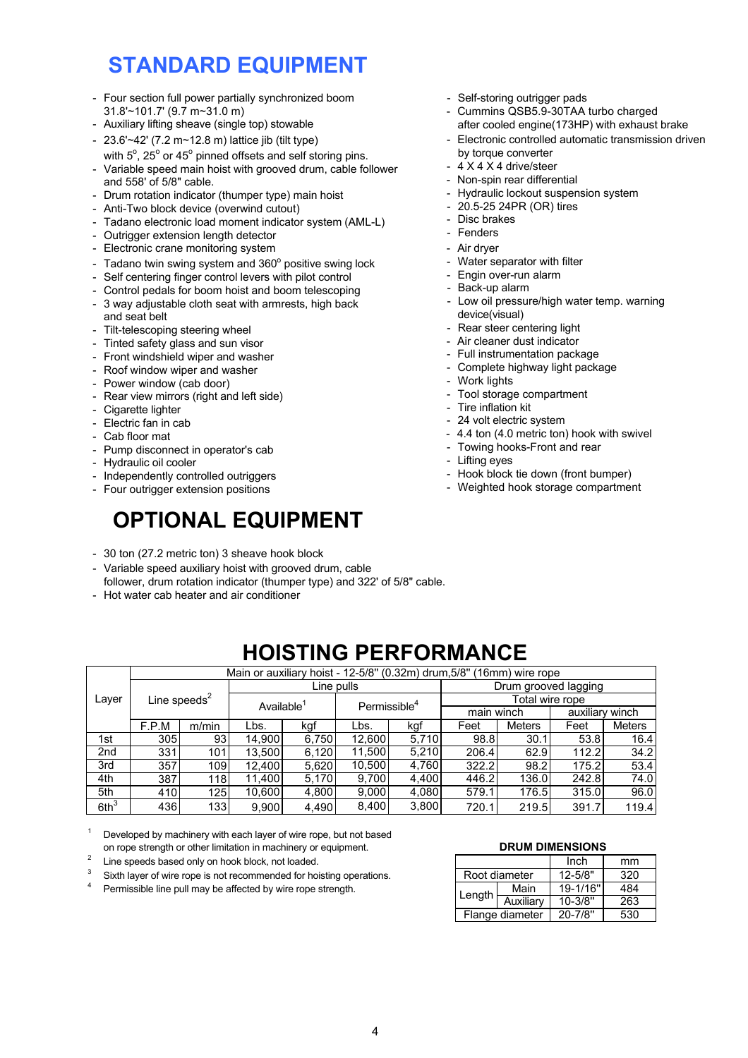# **STANDARD EQUIPMENT**

- Four section full power partially synchronized boom Self-storing outrigger pads<br>31.8'~101.7' (9.7 m~31.0 m) Cummins QSB5.9-30TAA
- Auxiliary lifting sheave (single top) stowable
- $23.6'~42'$  (7.2 m~12.8 m) lattice jib (tilt type)
- with  $5^{\circ}$ , 25 $^{\circ}$  or 45 $^{\circ}$  pinned offsets and self storing pins.
- Variable speed main hoist with grooved drum, cable follower and 558' of 5/8" cable.
- Drum rotation indicator (thumper type) main hoist
- Anti-Two block device (overwind cutout)
- Tadano electronic load moment indicator system (AML-L)
- Outrigger extension length detector
- Electronic crane monitoring system
- Tadano twin swing system and  $360^{\circ}$  positive swing lock
- Self centering finger control levers with pilot control
- Control pedals for boom hoist and boom telescoping
- 3 way adjustable cloth seat with armrests, high back and seat belt
- Tilt-telescoping steering wheel
- Tinted safety glass and sun visor
- Front windshield wiper and washer
- Roof window wiper and washer
- Power window (cab door)
- Rear view mirrors (right and left side)
- Cigarette lighter
- Electric fan in cab
- Cab floor mat
- Pump disconnect in operator's cab
- Hydraulic oil cooler
- Independently controlled outriggers
- Four outrigger extension positions

# **OPTIONAL EQUIPMENT**

- 30 ton (27.2 metric ton) 3 sheave hook block
- Variable speed auxiliary hoist with grooved drum, cable follower, drum rotation indicator (thumper type) and 322' of 5/8" cable.
- Hot water cab heater and air conditioner
- 
- Cummins QSB5.9-30TAA turbo charged after cooled engine(173HP) with exhaust brake
- Electronic controlled automatic transmission driven by torque converter
- $4 \times 4 \times 4$  drive/steer
- Non-spin rear differential
- Hydraulic lockout suspension system
- 20.5-25 24PR (OR) tires
- Disc brakes
- Fenders
- Air dryer
- Water separator with filter
- Engin over-run alarm
- Back-up alarm
- Low oil pressure/high water temp. warning device(visual)
- Rear steer centering light
- Air cleaner dust indicator
- Full instrumentation package
- Complete highway light package
- Work lights
- Tool storage compartment
- Tire inflation kit
- 24 volt electric system
- 4.4 ton (4.0 metric ton) hook with swivel
- Towing hooks-Front and rear
- Lifting eyes
- Hook block tie down (front bumper)
- Weighted hook storage compartment

- F.P.M m/min  $\frac{305}{331}$  93  $331$ 357 109 387 118  $\frac{410}{436}$  125 436 **HOISTING PERFORMANCE** Available<sup>1</sup> Line pulls 16.4 34.2 kgf Lbs 98.8 30.1 62.9 Lbs. 9,900 4,490 8,400 5th  $6th<sup>3</sup>$ 10,600 Layer  $\vert$  Line speeds<sup>2</sup> 5,710 5,210 1st 2nd 14,900 13,500 6,750 6,120 3rd 4th 4,800 4,080 9,000 12,400 11,400 5,620 5,170 4,760  $\frac{4,400}{4,080}$ 3,800 kgf Permissible<sup>4</sup> 9,700 12,600 11,500 10,500 main winch **Meters** auxiliary winch Total wire rope 96.0 119.4 136.0 176.5 219.5 242.8 315.0 391.7 Drum grooved lagging Main or auxiliary hoist - 12-5/8'' (0.32m) drum,5/8'' (16mm) wire rope 53.4 74.0 Feet 53.8 112.2 175.2 Feet Meters 98.2 206.4 322.2 720.1 579.1 446.2
- $1$  Developed by machinery with each layer of wire rope, but not based on rope strength or other limitation in machinery or equipment. **DRUM DIMENSIONS**
- 2 Line speeds based only on hook block, not loaded.
- $3$  Sixth layer of wire rope is not recommended for hoisting operations.
- Permissible line pull may be affected by wire rope strength.

|        |                 | Inch        | mm  |
|--------|-----------------|-------------|-----|
|        | Root diameter   | $12 - 5/8"$ | 320 |
|        | Main            | 19-1/16"    | 484 |
| Length | Auxiliary       | $10 - 3/8"$ | 263 |
|        | Flange diameter | $20 - 7/8"$ | 530 |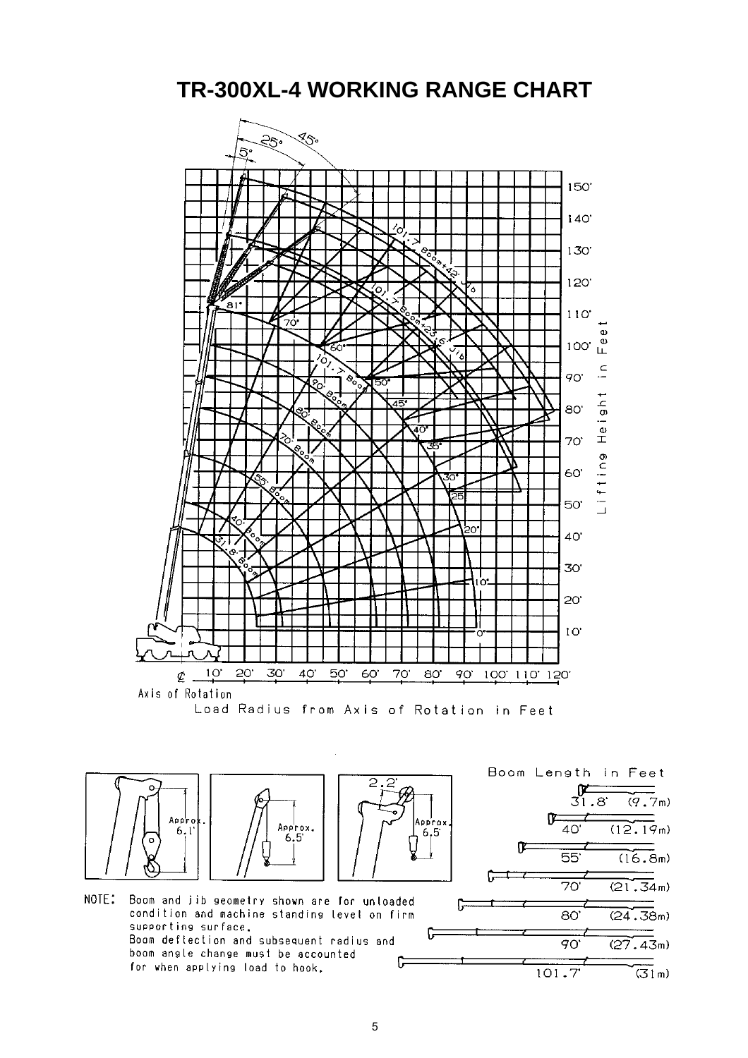**TR-300XL-4 WORKING RANGE CHART**





condition and machine standing level on firm supporting surface. Boom deflection and subsequent radius and boom angle change must be accounted C for when applying load to hook.



ြ

 $(16.8m)$ 

 $(21.34m)$ 

 $(24.38m)$ 

 $(27.43m)$ 

 $\overline{(\overline{3}\,n)}$ 

 $\overline{90}$ 

 $101.7$ 

5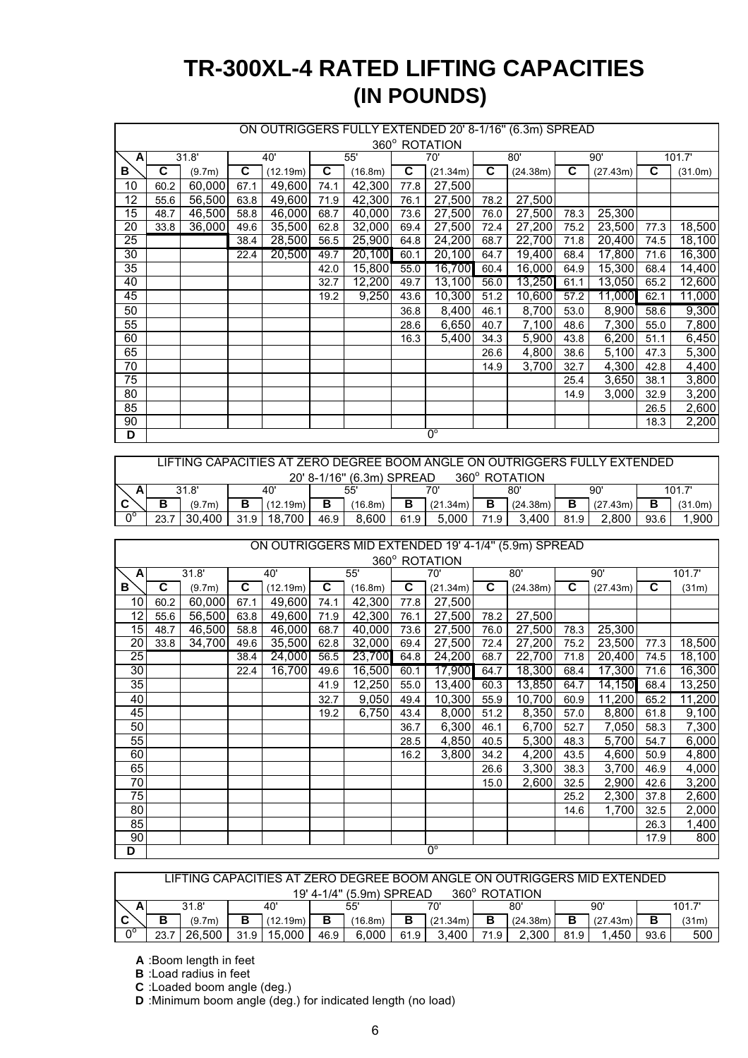# **(IN POUNDS) TR-300XL-4 RATED LIFTING CAPACITIES**

|                 | ON OUTRIGGERS FULLY EXTENDED 20' 8-1/16" (6.3m) SPREAD |        |      |          |      |         |      |               |      |          |      |          |      |         |
|-----------------|--------------------------------------------------------|--------|------|----------|------|---------|------|---------------|------|----------|------|----------|------|---------|
|                 |                                                        |        |      |          |      |         |      | 360° ROTATION |      |          |      |          |      |         |
| $\mathbf{A}$    |                                                        | 31.8'  |      | 40'      |      | 55'     |      | 70'           |      | 80'      |      | 90'      |      | 101.7'  |
| В               | C.                                                     | (9.7m) | C    | (12.19m) | C    | (16.8m) | C    | (21.34m)      | C    | (24.38m) | C.   | (27.43m) | C    | (31.0m) |
| 10              | 60.2                                                   | 60,000 | 67.1 | 49,600   | 74.1 | 42,300  | 77.8 | 27,500        |      |          |      |          |      |         |
| 12              | 55.6                                                   | 56,500 | 63.8 | 49,600   | 71.9 | 42,300  | 76.1 | 27,500        | 78.2 | 27,500   |      |          |      |         |
| 15              | 48.7                                                   | 46,500 | 58.8 | 46,000   | 68.7 | 40,000  | 73.6 | 27,500        | 76.0 | 27,500   | 78.3 | 25,300   |      |         |
| 20              | 33.8                                                   | 36,000 | 49.6 | 35,500   | 62.8 | 32,000  | 69.4 | 27,500        | 72.4 | 27,200   | 75.2 | 23,500   | 77.3 | 18,500  |
| 25              |                                                        |        | 38.4 | 28,500   | 56.5 | 25,900  | 64.8 | 24,200        | 68.7 | 22,700   | 71.8 | 20,400   | 74.5 | 18,100  |
| $\overline{30}$ |                                                        |        | 22.4 | 20,500   | 49.7 | 20,100  | 60.1 | 20,100        | 64.7 | 19,400   | 68.4 | 17,800   | 71.6 | 16,300  |
| 35              |                                                        |        |      |          | 42.0 | 15,800  | 55.0 | 16,700        | 60.4 | 16,000   | 64.9 | 15,300   | 68.4 | 14,400  |
| 40              |                                                        |        |      |          | 32.7 | 12,200  | 49.7 | 13,100        | 56.0 | 13,250   | 61.1 | 13,050   | 65.2 | 12,600  |
| 45              |                                                        |        |      |          | 19.2 | 9,250   | 43.6 | 10,300        | 51.2 | 10,600   | 57.2 | 11,000   | 62.1 | 11,000  |
| 50              |                                                        |        |      |          |      |         | 36.8 | 8,400         | 46.1 | 8,700    | 53.0 | 8,900    | 58.6 | 9,300   |
| 55              |                                                        |        |      |          |      |         | 28.6 | 6,650         | 40.7 | 7,100    | 48.6 | 7,300    | 55.0 | 7,800   |
| 60              |                                                        |        |      |          |      |         | 16.3 | 5,400         | 34.3 | 5,900    | 43.8 | 6,200    | 51.1 | 6,450   |
| 65              |                                                        |        |      |          |      |         |      |               | 26.6 | 4,800    | 38.6 | 5,100    | 47.3 | 5,300   |
| 70              |                                                        |        |      |          |      |         |      |               | 14.9 | 3,700    | 32.7 | 4,300    | 42.8 | 4,400   |
| 75              |                                                        |        |      |          |      |         |      |               |      |          | 25.4 | 3,650    | 38.1 | 3,800   |
| 80              |                                                        |        |      |          |      |         |      |               |      |          | 14.9 | 3,000    | 32.9 | 3,200   |
| 85              |                                                        |        |      |          |      |         |      |               |      |          |      |          | 26.5 | 2,600   |
| 90              |                                                        |        |      |          |      |         |      |               |      |          |      |          | 18.3 | 2,200   |
| D               |                                                        |        |      |          |      |         |      | $0^{\circ}$   |      |          |      |          |      |         |

|    | LIFTING CAPACITIES AT ZERO DEGREE BOOM ANGLE ON OUTRIGGERS FULLY EXTENDED |        |      |          |      |         |      |          |                   |          |      |          |        |         |
|----|---------------------------------------------------------------------------|--------|------|----------|------|---------|------|----------|-------------------|----------|------|----------|--------|---------|
|    | 360° ROTATION<br>20' 8-1/16" (6.3m) SPREAD                                |        |      |          |      |         |      |          |                   |          |      |          |        |         |
| A  |                                                                           | 31.8'  |      | 40'      |      | 55'     |      | 70'      | 80'               |          | 90'  |          | 101.7' |         |
|    |                                                                           | (9.7m) | в    | (12.19m) | в    | (16.8m) |      | (21.34m) |                   | (24.38m) |      | (27.43m) |        | (31.0m) |
| Ωq | 23.7                                                                      | 30.400 | 31.9 | 18.700   | 46.9 | 8.600   | 61.9 | 5.000    | 71.9 <sub>1</sub> | 3.400    | 81.9 | 2.800    | 93.6   | .900    |

### ON OUTRIGGERS MID EXTENDED 19' 4-1/4'' (5.9m) SPREAD

|                 |      |        |      |          |      |         |      | 360° ROTATION |      |          |      |          |      |        |
|-----------------|------|--------|------|----------|------|---------|------|---------------|------|----------|------|----------|------|--------|
| A               |      | 31.8'  |      | 40'      |      | 55'     |      | 70'           |      | 80'      | 90'  |          |      | 101.7' |
| в               | C    | (9.7m) | C    | (12.19m) | С    | (16.8m) | C    | (21.34m)      | C    | (24.38m) | С    | (27.43m) | C    | (31m)  |
| 10              | 60.2 | 60,000 | 67.1 | 49,600   | 74.1 | 42,300  | 77.8 | 27,500        |      |          |      |          |      |        |
| 12              | 55.6 | 56,500 | 63.8 | 49,600   | 71.9 | 42,300  | 76.1 | 27,500        | 78.2 | 27,500   |      |          |      |        |
| 15              | 48.7 | 46,500 | 58.8 | 46,000   | 68.7 | 40,000  | 73.6 | 27,500        | 76.0 | 27,500   | 78.3 | 25,300   |      |        |
| 20              | 33.8 | 34,700 | 49.6 | 35,500   | 62.8 | 32,000  | 69.4 | 27,500        | 72.4 | 27,200   | 75.2 | 23,500   | 77.3 | 18,500 |
| 25              |      |        | 38.4 | 24,000   | 56.5 | 23,700  | 64.8 | 24,200        | 68.7 | 22,700   | 71.8 | 20,400   | 74.5 | 18,100 |
| 30              |      |        | 22.4 | 16,700   | 49.6 | 16,500  | 60.1 | 17,900        | 64.7 | 18,300   | 68.4 | 17,300   | 71.6 | 16,300 |
| 35              |      |        |      |          | 41.9 | 12,250  | 55.0 | 13,400        | 60.3 | 13,850   | 64.7 | 14,150   | 68.4 | 13,250 |
| 40              |      |        |      |          | 32.7 | 9,050   | 49.4 | 10,300        | 55.9 | 10,700   | 60.9 | 11,200   | 65.2 | 11,200 |
| 45              |      |        |      |          | 19.2 | 6,750   | 43.4 | 8,000         | 51.2 | 8,350    | 57.0 | 8,800    | 61.8 | 9,100  |
| 50              |      |        |      |          |      |         | 36.7 | 6,300         | 46.1 | 6,700    | 52.7 | 7,050    | 58.3 | 7,300  |
| $\overline{55}$ |      |        |      |          |      |         | 28.5 | 4,850         | 40.5 | 5,300    | 48.3 | 5,700    | 54.7 | 6,000  |
| 60              |      |        |      |          |      |         | 16.2 | 3,800         | 34.2 | 4,200    | 43.5 | 4,600    | 50.9 | 4,800  |
| 65              |      |        |      |          |      |         |      |               | 26.6 | 3,300    | 38.3 | 3,700    | 46.9 | 4,000  |
| 70              |      |        |      |          |      |         |      |               | 15.0 | 2,600    | 32.5 | 2,900    | 42.6 | 3,200  |
| 75              |      |        |      |          |      |         |      |               |      |          | 25.2 | 2,300    | 37.8 | 2,600  |
| 80              |      |        |      |          |      |         |      |               |      |          | 14.6 | 1,700    | 32.5 | 2,000  |
| 85              |      |        |      |          |      |         |      |               |      |          |      |          | 26.3 | 1,400  |
| 90              |      |        |      |          |      |         |      |               |      |          |      |          | 17.9 | 800    |
| D               |      |        |      |          |      |         |      | $0^{\circ}$   |      |          |      |          |      |        |

|                   | LIFTING CAPACITIES AT ZERO DEGREE BOOM ANGLE ON OUTRIGGERS MID EXTENDED. |        |      |          |      |         |      |          |      |          |      |          |        |       |
|-------------------|--------------------------------------------------------------------------|--------|------|----------|------|---------|------|----------|------|----------|------|----------|--------|-------|
|                   | 360° ROTATION<br>19' 4-1/4'' (5.9m) SPREAD                               |        |      |          |      |         |      |          |      |          |      |          |        |       |
|                   |                                                                          | 31.8'  |      | 40'      |      | 55'     |      | 70'      | 80'  |          | 90'  |          | 101.7' |       |
|                   | в                                                                        | (9.7m) | в    | (12.19m) | В    | (16.8m) | в    | (21.34m) | в    | (24.38m) | В    | (27.43m) |        | (31m) |
| $\bigcap^{\circ}$ | 23.7                                                                     | 26.500 | 31.9 | 15.000   | 46.9 | 6.000   | 61.9 | 3.400    | 71 Q | 2.300    | 81.9 | .450     | 93.6   | 500   |

**A** :Boom length in feet

**B** :Load radius in feet

**C** :Loaded boom angle (deg.)

**D** :Minimum boom angle (deg.) for indicated length (no load)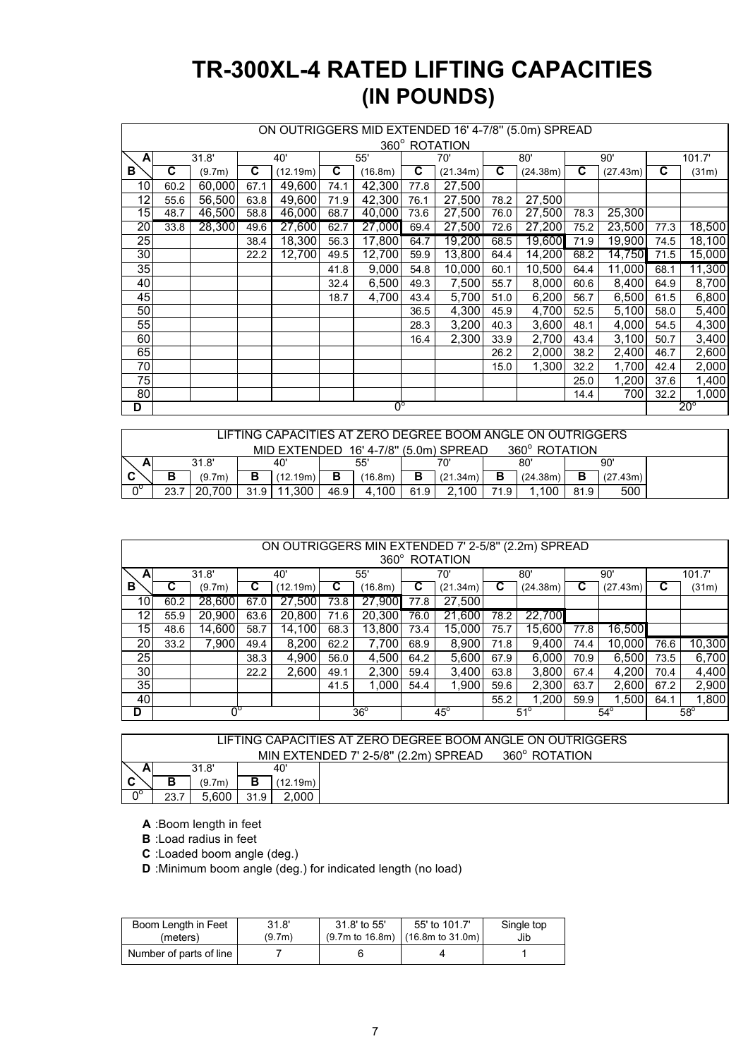# **TR-300XL-4 RATED LIFTING CAPACITIES (IN POUNDS)**

|                             | ON OUTRIGGERS MID EXTENDED 16' 4-7/8" (5.0m) SPREAD |        |      |          |      |         |      |          |      |          |      |              |      |        |
|-----------------------------|-----------------------------------------------------|--------|------|----------|------|---------|------|----------|------|----------|------|--------------|------|--------|
|                             | 360° ROTATION                                       |        |      |          |      |         |      |          |      |          |      |              |      |        |
| A                           |                                                     | 31.8'  |      | 40'      |      | 55'     |      | 70'      |      | 80'      |      | 90'          |      | 101.7' |
| В                           | C                                                   |        | C    |          | C    |         | C    |          | C    |          | C    |              | C    |        |
|                             |                                                     | (9.7m) |      | (12.19m) |      | (16.8m) |      | (21.34m) |      | (24.38m) |      | (27.43m)     |      | (31m)  |
| 10                          | 60.2                                                | 60,000 | 67.1 | 49,600   | 74.1 | 42,300  | 77.8 | 27,500   |      |          |      |              |      |        |
| 12                          | 55.6                                                | 56,500 | 63.8 | 49,600   | 71.9 | 42,300  | 76.1 | 27,500   | 78.2 | 27,500   |      |              |      |        |
| $\overline{15}$             | 48.7                                                | 46,500 | 58.8 | 46,000   | 68.7 | 40,000  | 73.6 | 27,500   | 76.0 | 27,500   | 78.3 | 25,300       |      |        |
| 20                          | 33.8                                                | 28,300 | 49.6 | 27,600   | 62.7 | 27,000  | 69.4 | 27,500   | 72.6 | 27,200   | 75.2 | 23,500       | 77.3 | 18,500 |
| $\overline{25}$             |                                                     |        | 38.4 | 18,300   | 56.3 | 17,800  | 64.7 | 19,200   | 68.5 | 19,600   | 71.9 | 19,900       | 74.5 | 18,100 |
| 30                          |                                                     |        | 22.2 | 12,700   | 49.5 | 12,700  | 59.9 | 13,800   | 64.4 | 14,200   | 68.2 | 14,750       | 71.5 | 15,000 |
| 35                          |                                                     |        |      |          | 41.8 | 9,000   | 54.8 | 10,000   | 60.1 | 10,500   | 64.4 | 11,000       | 68.1 | 11,300 |
| 40                          |                                                     |        |      |          | 32.4 | 6,500   | 49.3 | 7,500    | 55.7 | 8,000    | 60.6 | 8,400        | 64.9 | 8,700  |
| 45                          |                                                     |        |      |          | 18.7 | 4,700   | 43.4 | 5,700    | 51.0 | 6,200    | 56.7 | 6,500        | 61.5 | 6,800  |
| 50                          |                                                     |        |      |          |      |         | 36.5 | 4,300    | 45.9 | 4,700    | 52.5 | 5,100        | 58.0 | 5,400  |
| 55                          |                                                     |        |      |          |      |         | 28.3 | 3,200    | 40.3 | 3,600    | 48.1 | 4,000        | 54.5 | 4,300  |
| 60                          |                                                     |        |      |          |      |         | 16.4 | 2,300    | 33.9 | 2,700    | 43.4 | 3,100        | 50.7 | 3,400  |
| 65                          |                                                     |        |      |          |      |         |      |          | 26.2 | 2,000    | 38.2 | 2,400        | 46.7 | 2,600  |
| 70                          |                                                     |        |      |          |      |         |      |          | 15.0 | 1,300    | 32.2 | 1,700        | 42.4 | 2,000  |
| $\overline{75}$             |                                                     |        |      |          |      |         |      |          |      |          | 25.0 | 1,200        | 37.6 | 1,400  |
| 80                          |                                                     |        |      |          |      |         |      |          |      |          | 14.4 | 700          | 32.2 | 1,000  |
| $\overline{0^{\circ}}$<br>D |                                                     |        |      |          |      |         |      |          |      |          |      | $20^{\circ}$ |      |        |

|                | LIFTING CAPACITIES AT ZERO DEGREE BOOM ANGLE ON OUTRIGGERS |        |      |          |      |                                                       |   |          |   |          |  |          |  |
|----------------|------------------------------------------------------------|--------|------|----------|------|-------------------------------------------------------|---|----------|---|----------|--|----------|--|
|                | 360° ROTATION<br>MID EXTENDED 16' 4-7/8" (5.0m) SPREAD     |        |      |          |      |                                                       |   |          |   |          |  |          |  |
|                |                                                            | 31.8'  |      | 40'      |      | 55'                                                   |   | 70'      |   | 80'      |  | 90'      |  |
| ື              | в                                                          | (9.7m) | в    | (12.19m) | в    | (16.8m)                                               | в | (21.34m) | в | (24.38m) |  | (27.43m) |  |
| $\mathsf{v}_c$ | 23.7                                                       | 20.700 | 31.9 | 11.300   | 46.9 | .100<br>500<br>4.100<br>2.100<br>71.9<br>61.9<br>81.9 |   |          |   |          |  |          |  |

|                 | ON OUTRIGGERS MIN EXTENDED 7' 2-5/8" (2.2m) SPREAD |        |      |          |      |                                                          |      |          |      |          |      |            |        |        |
|-----------------|----------------------------------------------------|--------|------|----------|------|----------------------------------------------------------|------|----------|------|----------|------|------------|--------|--------|
|                 | 360° ROTATION                                      |        |      |          |      |                                                          |      |          |      |          |      |            |        |        |
| A               |                                                    | 31.8'  | 40'  |          | 55'  |                                                          | 70'  |          | 80'  |          |      | 90'        | 101.7' |        |
| в               | C                                                  | (9.7m) | C.   | (12.19m) | С    | (16.8m)                                                  |      | (21.34m) | С    | (24.38m) |      | (27.43m)   |        | (31m)  |
| 10 <sub>1</sub> | 60.2                                               | 28,600 | 67.0 | 27,500   | 73.8 | 27,900                                                   | 77.8 | 27,500   |      |          |      |            |        |        |
| 12 <sub>l</sub> | 55.9                                               | 20,900 | 63.6 | 20,800   | 71.6 | 20,300                                                   | 76.0 | 21,600   | 78.2 | 22,700   |      |            |        |        |
| 15              | 48.6                                               | 14,600 | 58.7 | 14,100   | 68.3 | 13,800                                                   | 73.4 | 15,000   | 75.7 | 15,600]  | 77.8 | 16,500     |        |        |
| 20              | 33.2                                               | 7,900  | 49.4 | 8,200    | 62.2 | 7,700                                                    | 68.9 | 8,900    | 71.8 | 9,400    | 74.4 | 10,000     | 76.6   | 10,300 |
| 25              |                                                    |        | 38.3 | 4,900    | 56.0 | 4,500                                                    | 64.2 | 5,600    | 67.9 | 6,000    | 70.9 | 6,500      | 73.5   | 6,700  |
| 30 <sub>1</sub> |                                                    |        | 22.2 | 2,600    | 49.1 | 2,300                                                    | 59.4 | 3,400    | 63.8 | 3,800    | 67.4 | 4,200      | 70.4   | 4,400  |
| 35              |                                                    |        |      |          | 41.5 | 1,000                                                    | 54.4 | 1,900    | 59.6 | 2,300    | 63.7 | 2,600      | 67.2   | 2,900  |
| 40              |                                                    |        |      |          |      |                                                          |      |          | 55.2 | 1,200    | 59.9 | 1,500      | 64.1   | 1,800  |
| D               | $0^\circ$                                          |        |      |          |      | $36^\circ$<br>$45^{\circ}$<br>$51^{\circ}$<br>$54^\circ$ |      |          |      |          |      | $58^\circ$ |        |        |

|    | LIFTING CAPACITIES AT ZERO DEGREE BOOM ANGLE ON OUTRIGGERS |        |      |          |  |  |  |  |  |  |
|----|------------------------------------------------------------|--------|------|----------|--|--|--|--|--|--|
|    | 360° ROTATION<br>MIN EXTENDED 7' 2-5/8" (2.2m) SPREAD      |        |      |          |  |  |  |  |  |  |
|    |                                                            | 31.8'  |      | 40'      |  |  |  |  |  |  |
|    |                                                            | (9.7m) | Р    | (12.19m) |  |  |  |  |  |  |
| ∩º | 23.7                                                       | .600   | 31.9 | .000     |  |  |  |  |  |  |

**A** :Boom length in feet

**B** :Load radius in feet

**C** :Loaded boom angle (deg.)

**D** :Minimum boom angle (deg.) for indicated length (no load)

| Boom Length in Feet     | 31.8'  | 31.8' to 55' | 55' to 101.7'                               | Single top |
|-------------------------|--------|--------------|---------------------------------------------|------------|
| (meters)                | (9.7m) |              | $(9.7m \text{ to } 16.8m)$ (16.8m to 31.0m) | Jib        |
| Number of parts of line |        |              |                                             |            |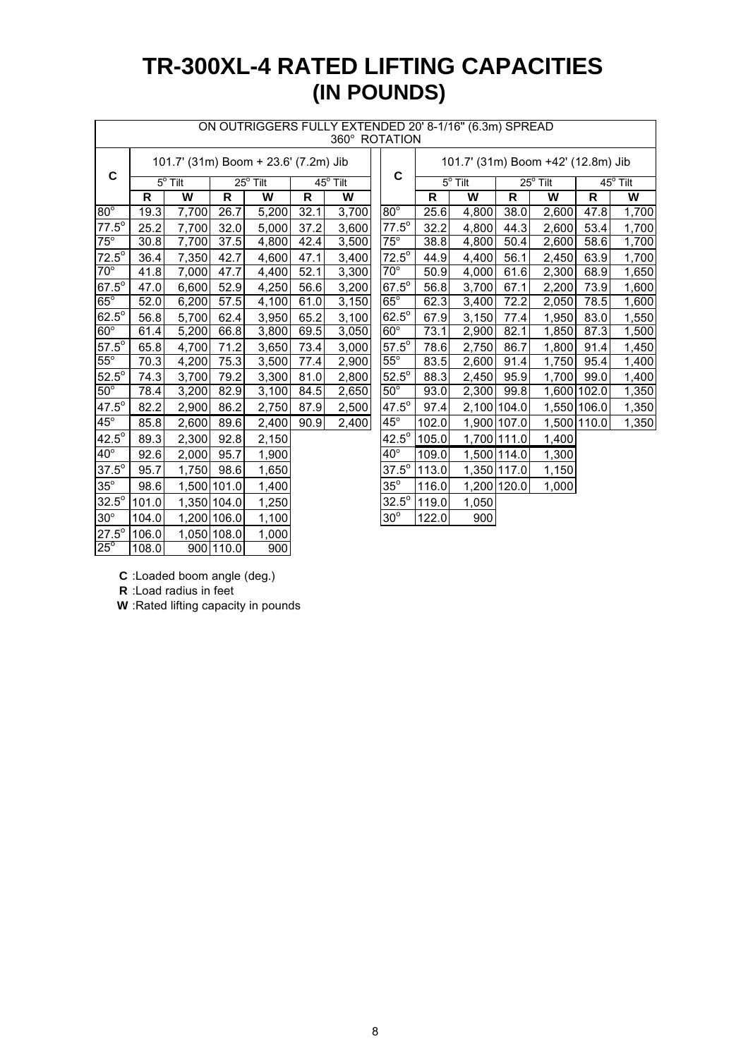# **TR-300XL-4 RATED LIFTING CAPACITIES (IN POUNDS)**

|                | ON OUTRIGGERS FULLY EXTENDED 20' 8-1/16" (6.3m) SPREAD<br>360° ROTATION |                |             |                                      |      |                             |              |                                    |                |                   |       |             |                 |  |  |
|----------------|-------------------------------------------------------------------------|----------------|-------------|--------------------------------------|------|-----------------------------|--------------|------------------------------------|----------------|-------------------|-------|-------------|-----------------|--|--|
|                |                                                                         |                |             | 101.7' (31m) Boom + 23.6' (7.2m) Jib |      |                             |              | 101.7' (31m) Boom +42' (12.8m) Jib |                |                   |       |             |                 |  |  |
| $\mathbf C$    |                                                                         | $5^\circ$ Tilt |             | $25^\circ$ Tilt                      |      | $\overline{45^{\circ}$ Tilt | C            |                                    | $5^\circ$ Tilt | $25^{\circ}$ Tilt |       |             | $45^\circ$ Tilt |  |  |
|                | R                                                                       | W              | R           | W                                    | R    | W                           |              | R                                  | W              | R                 | W     | R           | W               |  |  |
| $80^\circ$     | 19.3                                                                    | 7,700          | 26.7        | 5,200                                | 32.1 | 3,700                       | $80^\circ$   | 25.6                               | 4,800          | 38.0              | 2,600 | 47.8        | 1,700           |  |  |
| $77.5^\circ$   | 25.2                                                                    | 7,700          | 32.0        | 5,000                                | 37.2 | 3,600                       | $77.5^\circ$ | 32.2                               | 4,800          | 44.3              | 2,600 | 53.4        | 1,700           |  |  |
| $75^\circ$     | 30.8                                                                    | 7,700          | 37.5        | 4,800                                | 42.4 | 3,500                       | $75^\circ$   | 38.8                               | 4,800          | 50.4              | 2,600 | 58.6        | 1,700           |  |  |
| $72.5^{\circ}$ | 36.4                                                                    | 7,350          | 42.7        | 4,600                                | 47.1 | 3,400                       | $72.5^\circ$ | 44.9                               | 4,400          | 56.1              | 2,450 | 63.9        | 1,700           |  |  |
| $70^\circ$     | 41.8                                                                    | 7,000          | 47.7        | 4,400                                | 52.1 | 3,300                       | $70^\circ$   | 50.9                               | 4,000          | 61.6              | 2,300 | 68.9        | 1,650           |  |  |
| $67.5^\circ$   | 47.0                                                                    | 6,600          | 52.9        | 4,250                                | 56.6 | 3,200                       | $67.5^\circ$ | 56.8                               | 3,700          | 67.1              | 2,200 | 73.9        | 1,600           |  |  |
| $65^\circ$     | 52.0                                                                    | 6,200          | 57.5        | 4,100                                | 61.0 | $\overline{3,}150$          | $65^\circ$   | 62.3                               | 3,400          | 72.2              | 2,050 | 78.5        | 1,600           |  |  |
| $62.5^\circ$   | 56.8                                                                    | 5,700          | 62.4        | 3,950                                | 65.2 | 3,100                       | $62.5^\circ$ | 67.9                               | 3,150          | 77.4              | 1,950 | 83.0        | 1,550           |  |  |
| $60^\circ$     | 61.4                                                                    | 5,200          | 66.8        | 3,800                                | 69.5 | 3,050                       | $60^\circ$   | 73.1                               | 2,900          | 82.1              | 1,850 | 87.3        | 1,500           |  |  |
| $57.5^\circ$   | 65.8                                                                    | 4,700          | 71.2        | 3,650                                | 73.4 | 3,000                       | $57.5^\circ$ | 78.6                               | 2,750          | 86.7              | 1,800 | 91.4        | 1,450           |  |  |
| $55^\circ$     | 70.3                                                                    | 4,200          | 75.3        | 3,500                                | 77.4 | 2,900                       | $55^\circ$   | 83.5                               | 2,600          | 91.4              | 1,750 | 95.4        | 1,400           |  |  |
| $52.5^\circ$   | 74.3                                                                    | 3,700          | 79.2        | 3,300                                | 81.0 | 2,800                       | $52.5^\circ$ | 88.3                               | 2,450          | 95.9              | 1,700 | 99.0        | 1,400           |  |  |
| $50^\circ$     | 78.4                                                                    | 3,200          | 82.9        | 3,100                                | 84.5 | 2,650                       | $50^\circ$   | 93.0                               | 2,300          | 99.8              |       | 1,600 102.0 | 1,350           |  |  |
| $47.5^\circ$   | 82.2                                                                    | 2,900          | 86.2        | 2,750                                | 87.9 | 2,500                       | $47.5^\circ$ | 97.4                               | 2,100 104.0    |                   |       | 1,550 106.0 | 1,350           |  |  |
| $45^{\circ}$   | 85.8                                                                    | 2,600          | 89.6        | 2,400                                | 90.9 | 2,400                       | $45^{\circ}$ | 102.0                              |                | 1,900 107.0       |       | 1,500 110.0 | 1,350           |  |  |
| $42.5^\circ$   | 89.3                                                                    | 2,300          | 92.8        | 2,150                                |      |                             | $42.5^\circ$ | 105.0                              |                | 1,700 111.0       | 1,400 |             |                 |  |  |
| $40^{\circ}$   | 92.6                                                                    | 2,000          | 95.7        | 1,900                                |      |                             | $40^{\circ}$ | 109.0                              |                | 1,500 114.0       | 1,300 |             |                 |  |  |
| $37.5^\circ$   | 95.7                                                                    | 1,750          | 98.6        | 1,650                                |      |                             | $37.5^\circ$ | 113.0                              |                | 1,350 117.0       | 1,150 |             |                 |  |  |
| $35^\circ$     | 98.6                                                                    |                | 1,500 101.0 | 1,400                                |      |                             | $35^\circ$   | 116.0                              |                | 1,200 120.0       | 1,000 |             |                 |  |  |
| $32.5^\circ$   | 101.0                                                                   |                | 1,350 104.0 | 1,250                                |      |                             | $32.5^\circ$ | 119.0                              | 1,050          |                   |       |             |                 |  |  |
| $30^\circ$     | 104.0                                                                   |                | 1,200 106.0 | 1,100                                |      |                             | $30^\circ$   | 122.0                              | 900            |                   |       |             |                 |  |  |
| $27.5^\circ$   | 106.0                                                                   |                | 1,050 108.0 | 1,000                                |      |                             |              |                                    |                |                   |       |             |                 |  |  |

### ON OUTRIGGERS FULLY EXTENDED 20' 8-1/16'' (6.3m) SPREAD

**C** :Loaded boom angle (deg.)

**R** :Load radius in feet

 $25^{\circ}$ 

**W** :Rated lifting capacity in pounds

108.0 900 110.0 900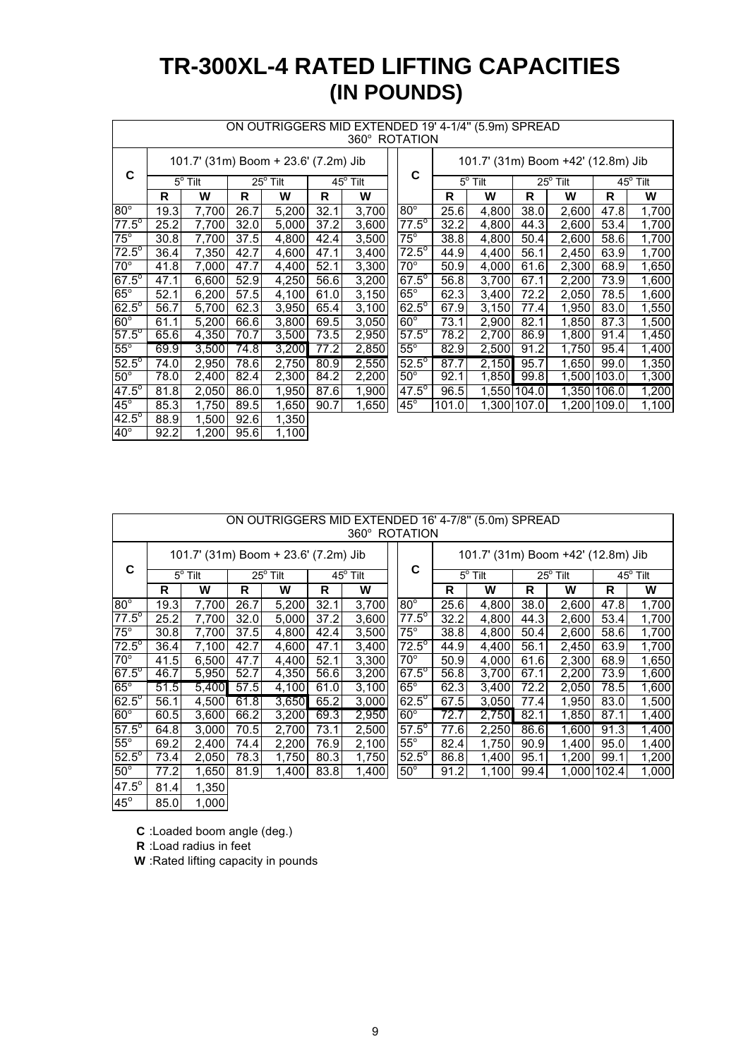# **TR-300XL-4 RATED LIFTING CAPACITIES (IN POUNDS)**

|                | ON OUTRIGGERS MID EXTENDED 19' 4-1/4" (5.9m) SPREAD<br>360° ROTATION |                            |       |                                      |      |                              |                |                                    |                |             |                   |                   |       |  |  |
|----------------|----------------------------------------------------------------------|----------------------------|-------|--------------------------------------|------|------------------------------|----------------|------------------------------------|----------------|-------------|-------------------|-------------------|-------|--|--|
|                |                                                                      |                            |       | 101.7' (31m) Boom + 23.6' (7.2m) Jib |      |                              |                | 101.7' (31m) Boom +42' (12.8m) Jib |                |             |                   |                   |       |  |  |
| C              |                                                                      | $\overline{5^{\circ}$ Tilt |       | $25^{\circ}$ Tilt                    |      | $\overline{45}^{\circ}$ Tilt | C              |                                    | $5^\circ$ Tilt |             | $25^{\circ}$ Tilt | $45^{\circ}$ Tilt |       |  |  |
|                | R                                                                    | W                          | R     | W                                    | R    | W                            |                | R                                  | W              | R           | W                 | R                 | W     |  |  |
| $80^\circ$     | 19.3                                                                 | 7,700                      | 26.7  | 5,200                                | 32.1 | 3,700                        | $80^\circ$     | 25.6                               | 4,800          | 38.0        | 2,600             | 47.8              | 1,700 |  |  |
| $77.5^\circ$   | 25.2                                                                 | 7,700                      | 32.0  | 5,000                                | 37.2 | 3,600                        | $77.5^{\circ}$ | 32.2                               | 4,800          | 44.3        | 2,600             | 53.4              | 1,700 |  |  |
| $75^\circ$     | 30.8                                                                 | 7,700                      | 37.5  | 4,800                                | 42.4 | 3,500                        | $75^\circ$     | 38.8                               | 4,800          | 50.4        | 2,600             | 58.6              | 1,700 |  |  |
| $72.5^\circ$   | 36.4                                                                 | 7,350                      | 42.7  | 4,600                                | 47.1 | 3,400                        | $72.5^\circ$   | 44.9                               | 4,400          | 56.1        | 2,450             | 63.9              | 1,700 |  |  |
| $70^\circ$     | 41.8                                                                 | 7,000                      | 47.7  | 4,400                                | 52.1 | 3,300                        | $70^{\circ}$   | 50.9                               | 4,000          | 61.6        | 2,300             | 68.9              | 1,650 |  |  |
| $67.5^{\circ}$ | 47.1                                                                 | 6,600                      | 52.9  | 4,250                                | 56.6 | 3,200                        | $67.5^\circ$   | 56.8                               | 3,700          | 67.1        | 2,200             | 73.9              | 1,600 |  |  |
| $65^\circ$     | 52.1                                                                 | 6,200                      | 57.5  | 4,100                                | 61.0 | 3,150                        | $65^\circ$     | 62.3                               | 3,400          | 72.2        | 2,050             | 78.5              | 1,600 |  |  |
| $62.5^\circ$   | 56.7                                                                 | 5,700                      | 62.3  | 3,950                                | 65.4 | 3,100                        | $62.5^\circ$   | 67.9                               | 3,150          | 77.4        | 1,950             | 83.0              | 1,550 |  |  |
| $60^\circ$     | 61.1                                                                 | 5,200                      | 66.6  | 3,800                                | 69.5 | 3,050                        | $60^\circ$     | 73.1                               | 2,900          | 82.1        | 1,850             | 87.3              | 1,500 |  |  |
| $57.5^{\circ}$ | 65.6                                                                 | 4,350                      | 70.7  | 3,500                                | 73.5 | 2,950                        | $57.5^\circ$   | 78.2                               | 2,700          | 86.9        | 1,800             | 91.4              | 1,450 |  |  |
| $55^\circ$     | 69.9                                                                 | 3,500                      | 74.81 | 3,200                                | 77.2 | 2,850                        | $55^\circ$     | 82.9                               | 2,500          | 91.2        | 1,750             | 95.4              | 1,400 |  |  |
| $52.5^\circ$   | 74.0                                                                 | 2,950                      | 78.6  | 2,750                                | 80.9 | 2,550                        | $52.5^{\circ}$ | 87.7                               | 2,150          | 95.7        | 1,650             | 99.0              | 1,350 |  |  |
| $50^\circ$     | 78.0                                                                 | 2,400                      | 82.4  | 2,300                                | 84.2 | 2,200                        | $50^\circ$     | 92.1                               | 1,850          | 99.8        |                   | 1,500 103.0       | 1,300 |  |  |
| $47.5^{\circ}$ | 81.8                                                                 | 2,050                      | 86.0  | 1,950                                | 87.6 | 1,900                        | $47.5^{\circ}$ | 96.5                               |                | 1,550 104.0 |                   | 1,350 106.0       | 1,200 |  |  |
| $45^\circ$     | 85.3                                                                 | 1,750                      | 89.5  | 1,650                                | 90.7 | 1,650                        | $45^{\circ}$   | 101.0                              |                | 1,300 107.0 |                   | 1,200 109.0       | 1,100 |  |  |
| $42.5^{\circ}$ | 88.9                                                                 | 1,500                      | 92.6  | 1,350                                |      |                              |                |                                    |                |             |                   |                   |       |  |  |
| $40^\circ$     | 92.2                                                                 | 1,200                      | 95.6  | 1,100                                |      |                              |                |                                    |                |             |                   |                   |       |  |  |

|                | ON OUTRIGGERS MID EXTENDED 16' 4-7/8" (5.0m) SPREAD<br>360° ROTATION |                  |      |                                      |      |                   |                           |                  |       |      |                                    |      |                   |
|----------------|----------------------------------------------------------------------|------------------|------|--------------------------------------|------|-------------------|---------------------------|------------------|-------|------|------------------------------------|------|-------------------|
|                |                                                                      |                  |      | 101.7' (31m) Boom + 23.6' (7.2m) Jib |      |                   |                           |                  |       |      | 101.7' (31m) Boom +42' (12.8m) Jib |      |                   |
| C              |                                                                      | $5^{\circ}$ Tilt |      | $25^{\circ}$ Tilt                    |      | $45^{\circ}$ Tilt | C                         | $5^{\circ}$ Tilt |       |      | $25^{\circ}$ Tilt                  |      | $45^{\circ}$ Tilt |
|                | R                                                                    | W                | R    | W                                    | R    | W                 |                           | R                | W     | R    | W                                  | R    | W                 |
| $80^\circ$     | 19.3                                                                 | 7,700            | 26.7 | 5,200                                | 32.1 | 3,700             | $80^\circ$                | 25.6             | 4,800 | 38.0 | 2,600                              | 47.8 | 1,700             |
| $77.5^\circ$   | 25.2                                                                 | 7,700            | 32.0 | 5,000                                | 37.2 | 3,600             | $77.\overline{5^{\circ}}$ | 32.2             | 4,800 | 44.3 | 2,600                              | 53.4 | 1,700             |
| $75^\circ$     | 30.8                                                                 | 7,700            | 37.5 | 4,800                                | 42.4 | 3,500             | $75^\circ$                | 38.8             | 4,800 | 50.4 | 2,600                              | 58.6 | 1,700             |
| $72.5^\circ$   | 36.4                                                                 | 7,100            | 42.7 | 4,600                                | 47.1 | 3,400             | $72.5^\circ$              | 44.9             | 4.400 | 56.1 | 2,450                              | 63.9 | 1,700             |
| $70^\circ$     | 41.5                                                                 | 6,500            | 47.7 | 4,400                                | 52.1 | 3,300             | $70^{\circ}$              | 50.9             | 4,000 | 61.6 | 2,300                              | 68.9 | 1,650             |
| $67.5^{\circ}$ | 46.7                                                                 | 5,950            | 52.7 | 4,350                                | 56.6 | 3,200             | $67.5^\circ$              | 56.8             | 3,700 | 67.1 | 2,200                              | 73.9 | 1,600             |
| $65^\circ$     | 51.5                                                                 | 5,400            | 57.5 | 4,100                                | 61.0 | 3,100             | $65^\circ$                | 62.3             | 3,400 | 72.2 | 2,050                              | 78.5 | 1,600             |
| $62.5^{\circ}$ | 56.1                                                                 | 4,500            | 61.8 | 3,650                                | 65.2 | 3,000             | $62.5^\circ$              | 67.5             | 3,050 | 77.4 | 1,950                              | 83.0 | 1,500             |
| $60^\circ$     | 60.5                                                                 | 3,600            | 66.2 | 3,200                                | 69.3 | 2,950             | $60^\circ$                | 72.7             | 2,750 | 82.1 | 1,850                              | 87.1 | 1,400             |
| $57.5^\circ$   | 64.8                                                                 | 3,000            | 70.5 | 2,700                                | 73.1 | 2,500             | $57.5^{\circ}$            | 77.6             | 2,250 | 86.6 | 1,600                              | 91.3 | 1,400             |
| $55^\circ$     | 69.2                                                                 | 2,400            | 74.4 | 2,200                                | 76.9 | 2,100             | $55^\circ$                | 82.4             | 1.750 | 90.9 | 1.400                              | 95.0 | 1,400             |
| $52.5^\circ$   | 73.4                                                                 | 2,050            | 78.3 | 1,750                                | 80.3 | 1,750             | $52.5^\circ$              | 86.8             | 1,400 | 95.1 | 1,200                              | 99.1 | 1,200             |
| $50^\circ$     | 77.2                                                                 | 1,650            | 81.9 | 1,400                                | 83.8 | 1,400             | $50^\circ$                | 91.2             | 1,100 | 99.4 | 1,000 102.4                        |      | 1,000             |
| $47.5^\circ$   | 81.4                                                                 | 1,350            |      |                                      |      |                   |                           |                  |       |      |                                    |      |                   |
| $45^\circ$     | 85.0                                                                 | 1,000            |      |                                      |      |                   |                           |                  |       |      |                                    |      |                   |

**C** :Loaded boom angle (deg.)

**R** :Load radius in feet

**W** :Rated lifting capacity in pounds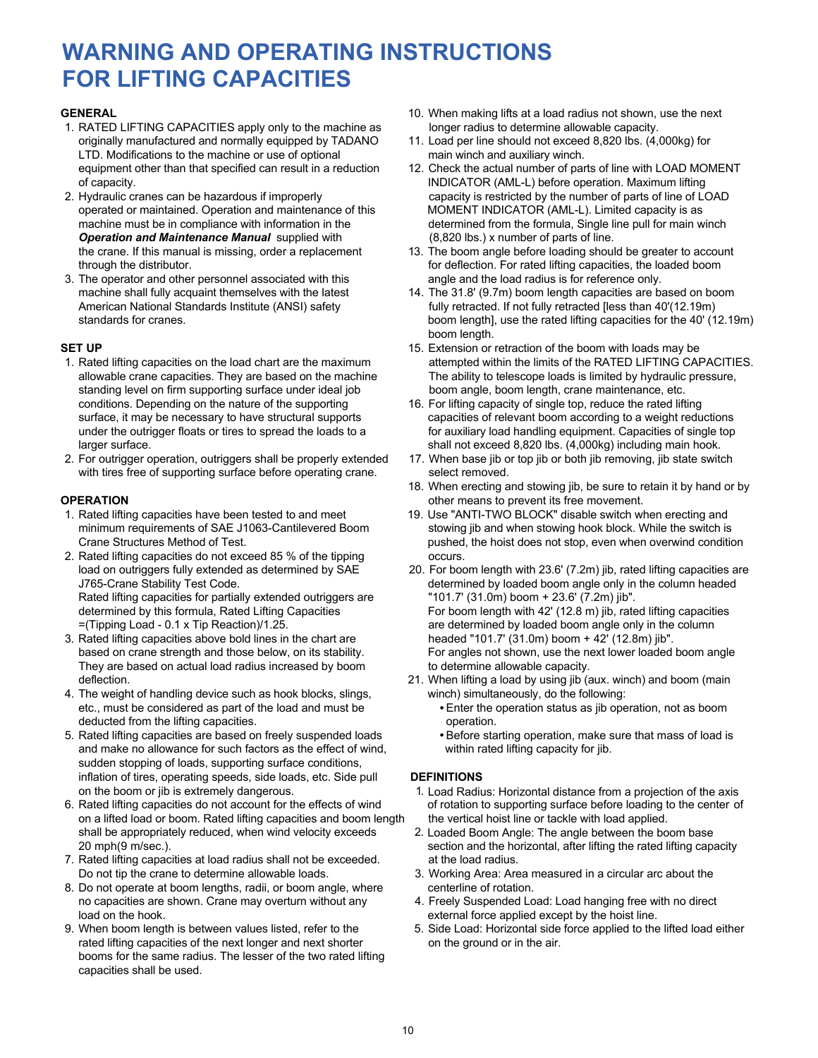# **WARNING AND OPERATING INSTRUCTIONS FOR LIFTING CAPACITIES**

- 1. RATED LIFTING CAPACITIES apply only to the machine as longer radius to determine allowable capacity. originally manufactured and normally equipped by TADANO 11. Load per line should not exceed 8,820 lbs. (4,000kg) for LTD. Modifications to the machine or use of optional main winch and auxiliary winch.<br>equipment other than that specified can result in a reduction 12. Check the actual number of par of capacity. INDICATOR (AML-L) before operation. Maximum lifting
- operated or maintained. Operation and maintenance of this MOMENT INDICATOR (AML-L). Limited capacity is as **Operation and Maintenance Manual** supplied with
- 3. The operator and other personnel associated with this machine shall fully acquaint themselves with the latest

- standing level on firm supporting surface under ideal job surface, it may be necessary to have structural supports
- 2. For outrigger operation, outriggers shall be properly extended 17. When base jib or top jib or both jib removing, jib state switch with tires free of supporting surface before operating crane. Select removed.

- 1. Rated lifting capacities have been tested to and meet 19. Use "ANTI-TWO BLOCK" disable switch when erecting and
- 2. Rated lifting capacities do not exceed 85 % of the tipping occurs. Rated lifting capacities for partially extended outriggers are
- 3. Rated lifting capacities above bold lines in the chart are headed "101.7' (31.0m) boom + 42' (12.8m) jib". They are based on actual load radius increased by boom to determine allowable capacity.
- 4. The weight of handling device such as hook blocks, slings, winch) simultaneously, do the following: etc., must be considered as part of the load and must be **Enter the operation status as jib operation**, not as boom deducted from the lifting capacities. The contract of the contract operation.
- and make no allowance for such factors as the effect of wind, within rated lifting capacity for jib. sudden stopping of loads, supporting surface conditions, inflation of tires, operating speeds, side loads, etc. Side pull **DEFINITIONS**
- 6. Rated lifting capacities do not account for the effects of wind on a lifted load or boom. Rated lifting capacities and boom length the vertical hoist line or tackle with load applied. shall be appropriately reduced, when wind velocity exceeds 2. Loaded Boom Angle: The angle between the boom base<br>20 mph(9 m/sec.). section and the horizontal, after lifting the rated lifting cap-
- 7. Rated lifting capacities at load radius shall not be exceeded. <br>at the load radius. Do not tip the crane to determine allowable loads. 3. Working Area: Area measured in a circular arc about the
- 8. Do not operate at boom lengths, radii, or boom angle, where centerline of rotation. no capacities are shown. Crane may overturn without any 4. Freely Suspended Load: Load hanging free with no direct load on the hook.<br>9. When boom length is between values listed, refer to the external force applied except by the hoist line.
- rated lifting capacities of the next longer and next shorter on the ground or in the air. booms for the same radius. The lesser of the two rated lifting capacities shall be used.
- **GENERAL** 10. When making lifts at a load radius not shown, use the next
	-
- 12. Check the actual number of parts of line with LOAD MOMENT 2. Hydraulic cranes can be hazardous if improperly capacity is restricted by the number of parts of line of LOAD machine must be in compliance with information in the determined from the formula, Single line pull for main winch  $Operation$  and Maintenance Manual supplied with  $Operation$  (8.820 lbs.) x number of parts of line.
	- the crane. If this manual is missing, order a replacement 13. The boom angle before loading should be greater to account through the distributor.<br>The operator and other personnel associated with this angle and the load radius is for reference only.
	- 14. The 31.8' (9.7m) boom length capacities are based on boom American National Standards Institute (ANSI) safety fully retracted. If not fully retracted [less than 40'(12.19m) standards for cranes. boom length], use the rated lifting capacities for the 40' (12.19m) boom length.
- **SET UP** 15. Extension or retraction of the boom with loads may be 1. Rated lifting capacities on the load chart are the maximum attempted within the limits of the RATED LIFTING CAPACITIES. allowable crane capacities. They are based on the machine The ability to telescope loads is limited by hydraulic pressure, standing level on firm supporting surface under ideal job boom angle, boom length, crane maintenanc
	- conditions. Depending on the nature of the supporting 16. For lifting capacity of single top, reduce the rated lifting surface, it may be necessary to have structural supports capacities of relevant boom according to a wei under the outrigger floats or tires to spread the loads to a for auxiliary load handling equipment. Capacities of single top larger surface. shall not exceed 8,820 lbs. (4,000kg) including main hook.
		-
- 18. When erecting and stowing jib, be sure to retain it by hand or by **OPERATION OPERATION OPERATION OPERATION** 
	- minimum requirements of SAE J1063-Cantilevered Boom stowing jib and when stowing hook block. While the switch is<br>Crane Structures Method of Test. store the switch is sure the hoist does not stop, even when overwind conditi pushed, the hoist does not stop, even when overwind condition
	- load on outriggers fully extended as determined by SAE 20. For boom length with 23.6' (7.2m) jib, rated lifting capacities are J765-Crane Stability Test Code.<br>Rated lifting capacities for partially extended outriggers are  $\qquad \qquad$  "101.7' (31.0m) boom + 23.6' (7.2m) iib". determined by this formula, Rated Lifting Capacities For boom length with 42' (12.8 m) jib, rated lifting capacities =(Tipping Load - 0.1 x Tip Reaction)/1.25. are determined by loaded boom angle only in the column For angles not shown, use the next lower loaded boom angle
	- deflection. 21. When lifting a load by using jib (aux. winch) and boom (main
		-
- 5. Rated lifting capacities are based on freely suspended loads Before starting operation, make sure that mass of load is

- on the boom or jib is extremely dangerous.<br>
Rated lifting capacities do not account for the effects of wind of rotation to supporting surface before loading to the center of
	- section and the horizontal, after lifting the rated lifting capacity
	-
	-
	- 5. Side Load: Horizontal side force applied to the lifted load either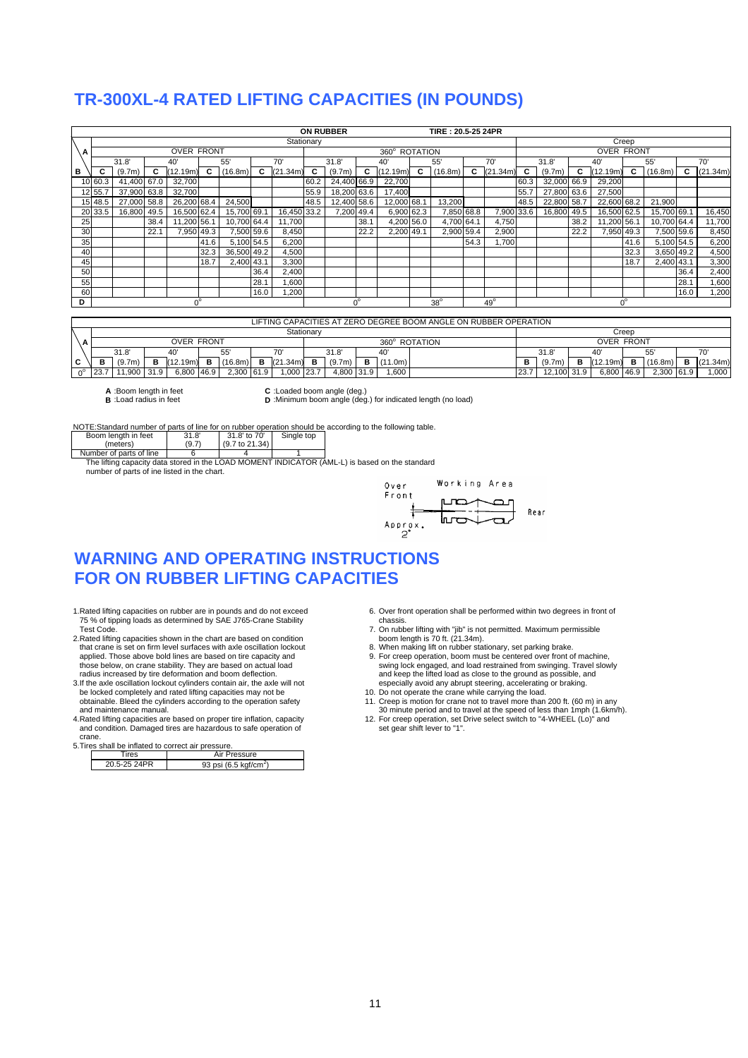### **TR-300XL-4 RATED LIFTING CAPACITIES (IN POUNDS)**

|    |             |             |      |                   |            |             |            |                          |                                | <b>ON RUBBER</b> |             |             |   | TIRE: 20.5-25 24PR |      |                   |      |             |      |             |             |             |            |          |
|----|-------------|-------------|------|-------------------|------------|-------------|------------|--------------------------|--------------------------------|------------------|-------------|-------------|---|--------------------|------|-------------------|------|-------------|------|-------------|-------------|-------------|------------|----------|
|    |             |             |      |                   |            |             |            |                          | Stationary                     |                  |             |             |   |                    |      |                   |      |             |      |             | Creep       |             |            |          |
| А  |             |             |      | <b>OVER FRONT</b> |            |             |            |                          | $360^\circ$<br><b>ROTATION</b> |                  |             |             |   |                    |      | <b>OVER FRONT</b> |      |             |      |             |             |             |            |          |
|    |             | 31.8'       |      | 40                |            | 55'         |            | 70'                      |                                | 31.8'            |             | 40          |   | 55'                |      | 70'               |      | 31.8'       |      | 40          |             | 55'         |            | 70'      |
| в  | c           | (9.7m)      |      | (12.19m)          |            | (16.8m)     | C          | (21)<br>.34 <sub>m</sub> |                                | (9.7m)           | c           | (12.19m)    | C | (16.8m)            | c    | (21.34m)          |      | (9.7m)      | С    | (12.19m)    |             | (16.8m)     |            | (21.34m) |
|    | 10 60.3     | 41,400 67.0 |      | 32,700            |            |             |            |                          | 60.2                           | 24,400 66.9      |             | 22,700      |   |                    |      |                   | 60.3 | 32,000 66.9 |      | 29,200      |             |             |            |          |
|    | 12 55.      | 37,900 63.8 |      | 32,700            |            |             |            |                          | 55.9                           | 18,200 63.6      |             | 17,400      |   |                    |      |                   | 55.7 | 27,800 63.6 |      | 27,500      |             |             |            |          |
|    | 15 48.5     | 27,000 58.8 |      | 26,200 68.4       |            | 24,500      |            |                          | 48.5                           | 12,400 58.6      |             | 12,000 68.1 |   | 13,200             |      |                   | 48.5 | 22,800 58.7 |      | 22,600 68.2 |             | 21,900      |            |          |
|    | 20 33.5     | 16.800      | 49.5 | 16,500 62.4       |            | 15.700 69.1 |            | 16,450 33.2              |                                | 7,200 49.4       |             | 6,900 62.3  |   | 7,850 68.8         |      | 7,900 33.6        |      | 16,800 49.5 |      | 16,500 62.5 |             | 15,700 69.1 |            | 16,450   |
| 25 |             |             | 38.4 | 11,200 56.1       |            | 10,700 64.4 |            | 11,700                   |                                |                  | 38.1        | 4,200 56.0  |   | 4,700 64.1         |      | 4,750             |      |             | 38.2 | 11,200 56.1 |             | 10,700 64.4 |            | 11,700   |
| 30 |             |             | 22.1 |                   | 7,950 49.3 |             | 7,500 59.6 | 8,450                    |                                |                  | 22.2        | 2,200 49.1  |   | 2,900 59.4         |      | 2,900             |      |             | 22.2 |             | 7,950 49.3  |             | 7,500 59.6 | 8,450    |
| 35 |             |             |      |                   | 41.6       | 5,100 54.5  |            | 6,200                    |                                |                  |             |             |   |                    | 54.3 | ,700              |      |             |      |             | 41.6        | 5,100 54.5  |            | 6,200    |
| 40 |             |             |      |                   | 32.3       | 36,500 49.2 |            | 4,500                    |                                |                  |             |             |   |                    |      |                   |      |             |      |             | 32.3        |             | 3,650 49.2 | 4,500    |
| 45 |             |             |      |                   | 18.7       | 2,400 43.1  |            | 3,300                    |                                |                  |             |             |   |                    |      |                   |      |             |      |             | 18.7        | 2,400 43.1  |            | 3,300    |
| 50 |             |             |      |                   |            |             | 36.4       | 2,400                    |                                |                  |             |             |   |                    |      |                   |      |             |      |             |             |             | 36.4       | 2,400    |
| 55 |             |             |      |                   |            |             | 28.1       | 006,1                    |                                |                  |             |             |   |                    |      |                   |      |             |      |             |             |             | 28.1       | 1,600    |
| 60 |             |             |      |                   |            |             | 16.0       | ,200                     |                                |                  |             |             |   |                    |      |                   |      |             |      |             |             |             | 16.0       | 1,200    |
| D  | $0^{\circ}$ |             |      |                   |            |             |            |                          |                                |                  | $0^{\circ}$ |             |   | $38^\circ$         |      | $49^{\circ}$      |      |             |      |             | $0^{\circ}$ |             |            |          |

|   | LIFTING CAPACITIES AT ZERO DEGREE BOOM ANGLE ON RUBBER OPERATION |        |      |            |   |            |  |             |   |              |                   |                  |       |      |                    |   |            |   |            |     |          |
|---|------------------------------------------------------------------|--------|------|------------|---|------------|--|-------------|---|--------------|-------------------|------------------|-------|------|--------------------|---|------------|---|------------|-----|----------|
|   | Stationarv                                                       |        |      |            |   |            |  |             |   |              |                   |                  | Creep |      |                    |   |            |   |            |     |          |
|   | <b>OVER FRONT</b><br>ROTATION<br>$360^\circ$                     |        |      |            |   |            |  |             |   |              | <b>OVER FRONT</b> |                  |       |      |                    |   |            |   |            |     |          |
|   |                                                                  | 31.8'  |      | 40         |   | 55'        |  | 70'         |   | 31.8'<br>40' |                   |                  |       |      | 31.8'<br>55<br>40' |   |            |   |            | 70' |          |
| С |                                                                  | (9.7m) |      | (12.19m)   | в | (16.8m)    |  | B(21.34m)   | в | (9.7m)       |                   | <b>B</b> (11.0m) |       |      | (9.7m)             | в | (12.19m)   | в | (16.8m)    | B   | (21.34m) |
|   | 23.7                                                             | 11.900 | 31.9 | 6.800 46.9 |   | 2.300 61.9 |  | $.000$ 23.7 |   | 4.800 31.9   |                   | .600             |       | 23.7 | 12.100 31.9        |   | 6,800 46.9 |   | 2,300 61.9 |     | 000.     |

**A** :Boom length in feet **C** :Loaded boom angle (deg.) **B** :Load radius in feet **D** :Minimum boom angle (deg.) for indicated length (no load)

NOTE:Standard number of parts of line for on rubber operation should be according to the following table.<br>Boom length in feet 31.8' 31.8' 31.8' 500' Single top



The lifting capacity data stored in the LOAD MOMENT INDICATOR (AML-L) is based on the standard number of parts of ine listed in the chart.



### **WARNING AND OPERATING INSTRUCTIONS FOR ON RUBBER LIFTING CAPACITIES**

- 75 % of tipping loads as determined by SAE J765-Crane Stability chassis.<br>Test Code 7 On rubb
- 2.Rated lifting capacities shown in the chart are based on condition<br>that crane is set on firm level surfaces with axle oscillation lockout<br>that crane is set on firm level surfaces with axle oscillation lockout<br>8. When mak that crane is set on firm level surfaces with axle oscillation lockout applied. Those above bold lines are based on tire capacity and applied. Those above bold lines are based on tire capacity and 9. For creep operation, boom must be centered over front of machine, those below, on crane stability. They are based on actual load 9. For creep operation, boo
- 3.If the axle oscillation lockout cylinders contain air, the axle will not be locked completely and rated lifting capacities may not be 10. Docked completely and rated lifting capacities may not be 10. Obtainable. Bleed the cylinders according to the operation safety
- and condition. Damaged tires are hazardous to safe operation of crane.

| 5. Tires shall be inflated to correct air pressure. |                                   |
|-----------------------------------------------------|-----------------------------------|
| <b>Tires</b>                                        | Air Pressure                      |
| 20.5-25 24PR                                        | 93 psi (6.5 kgf/cm <sup>2</sup> ) |

- 1.Rated lifting capacities on rubber are in pounds and do not exceed 6. Over front operation shall be performed within two degrees in front of
	- Ulassis.<br>T. On rubber lifting with "jib" is not permitted. Maximum permissible<br>boom length is 70 ft. (21.34m).
	-
- those below, on crane stability. They are based on actual load state of the swing lock engaged, and load restrained from swinging. Travel slowly<br>Tradius increased by tire deformation and boom deflection. State of the state obtained the cylinders according to the cylinders according to the cylinders according to the operation safety 11. Creep is motion for crane not to travel more than 200 ft. (60 m) in any 11. Creep is motion for crane not t
	-
- and maintenance manual.<br>
and maintenance manual.<br>
4. Rated lifting capacities are based on proper tire inflation, capacity<br>
4. For creep operation, set Drive select switch to "4-WHEEL (Lo)" and<br>
4. Rated lifting capacities 12. For creep operation, set Drive select switch to "4-WHEEL (Lo)" and set gear shift lever to "1".